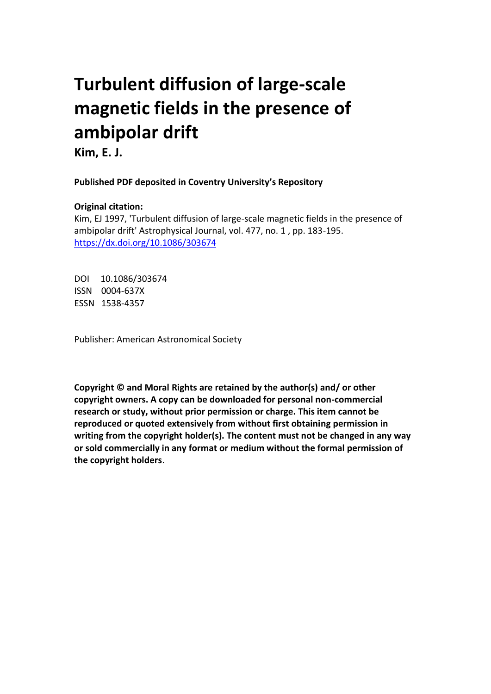# **Turbulent diffusion of large-scale magnetic fields in the presence of ambipolar drift**

**Kim, E. J.** 

 **Published PDF deposited in Coventry University's Repository** 

# **Original citation:**

 Kim, EJ 1997, 'Turbulent diffusion of large-scale magnetic fields in the presence of ambipolar drift' Astrophysical Journal, vol. 477, no. 1 , pp. 183-195. https://dx.doi.org/10.1086/303674

**DOI**  ISSN 0004-637X 10.1086/303674 ESSN 1538-4357

Publisher: American Astronomical Society

 **Copyright © and Moral Rights are retained by the author(s) and/ or other copyright owners. A copy can be downloaded for personal non-commercial research or study, without prior permission or charge. This item cannot be reproduced or quoted extensively from without first obtaining permission in writing from the copyright holder(s). The content must not be changed in any way or sold commercially in any format or medium without the formal permission of the copyright holders**.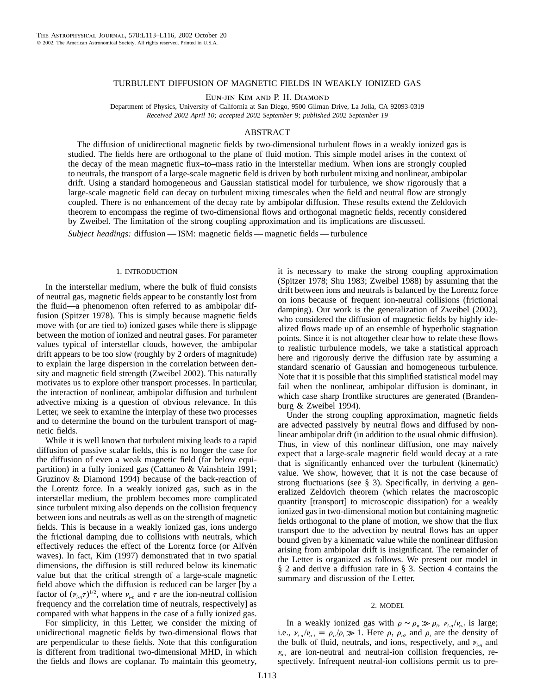## TURBULENT DIFFUSION OF MAGNETIC FIELDS IN WEAKLY IONIZED GAS

Eun-jin Kim and P. H. Diamond

Department of Physics, University of California at San Diego, 9500 Gilman Drive, La Jolla, CA 92093-0319 *Received 2002 April 10; accepted 2002 September 9; published 2002 September 19* 

## ABSTRACT

The diffusion of unidirectional magnetic fields by two-dimensional turbulent flows in a weakly ionized gas is studied. The fields here are orthogonal to the plane of fluid motion. This simple model arises in the context of the decay of the mean magnetic flux–to–mass ratio in the interstellar medium. When ions are strongly coupled to neutrals, the transport of a large-scale magnetic field is driven by both turbulent mixing and nonlinear, ambipolar drift. Using a standard homogeneous and Gaussian statistical model for turbulence, we show rigorously that a large-scale magnetic field can decay on turbulent mixing timescales when the field and neutral flow are strongly coupled. There is no enhancement of the decay rate by ambipolar diffusion. These results extend the Zeldovich theorem to encompass the regime of two-dimensional flows and orthogonal magnetic fields, recently considered by Zweibel. The limitation of the strong coupling approximation and its implications are discussed.

*Subject headings:* diffusion — ISM: magnetic fields — magnetic fields — turbulence

#### 1. INTRODUCTION

In the interstellar medium, where the bulk of fluid consists of neutral gas, magnetic fields appear to be constantly lost from the fluid—a phenomenon often referred to as ambipolar diffusion (Spitzer 1978). This is simply because magnetic fields move with (or are tied to) ionized gases while there is slippage between the motion of ionized and neutral gases. For parameter values typical of interstellar clouds, however, the ambipolar drift appears to be too slow (roughly by 2 orders of magnitude) to explain the large dispersion in the correlation between density and magnetic field strength (Zweibel 2002). This naturally motivates us to explore other transport processes. In particular, the interaction of nonlinear, ambipolar diffusion and turbulent advective mixing is a question of obvious relevance. In this Letter, we seek to examine the interplay of these two processes and to determine the bound on the turbulent transport of magnetic fields.

While it is well known that turbulent mixing leads to a rapid diffusion of passive scalar fields, this is no longer the case for the diffusion of even a weak magnetic field (far below equipartition) in a fully ionized gas (Cattaneo & Vainshtein 1991; Gruzinov & Diamond 1994) because of the back-reaction of the Lorentz force. In a weakly ionized gas, such as in the interstellar medium, the problem becomes more complicated since turbulent mixing also depends on the collision frequency between ions and neutrals as well as on the strength of magnetic fields. This is because in a weakly ionized gas, ions undergo the frictional damping due to collisions with neutrals, which effectively reduces the effect of the Lorentz force (or Alfvén waves). In fact, Kim (1997) demonstrated that in two spatial dimensions, the diffusion is still reduced below its kinematic value but that the critical strength of a large-scale magnetic field above which the diffusion is reduced can be larger [by a factor of  $(\nu_{i,n}\tau)^{1/2}$ , where  $\nu_{i-n}$  and  $\tau$  are the ion-neutral collision frequency and the correlation time of neutrals, respectively] as compared with what happens in the case of a fully ionized gas.

For simplicity, in this Letter, we consider the mixing of unidirectional magnetic fields by two-dimensional flows that are perpendicular to these fields. Note that this configuration is different from traditional two-dimensional MHD, in which the fields and flows are coplanar. To maintain this geometry,

it is necessary to make the strong coupling approximation (Spitzer 1978; Shu 1983; Zweibel 1988) by assuming that the drift between ions and neutrals is balanced by the Lorentz force on ions because of frequent ion-neutral collisions (frictional damping). Our work is the generalization of Zweibel (2002), who considered the diffusion of magnetic fields by highly idealized flows made up of an ensemble of hyperbolic stagnation points. Since it is not altogether clear how to relate these flows to realistic turbulence models, we take a statistical approach here and rigorously derive the diffusion rate by assuming a standard scenario of Gaussian and homogeneous turbulence. Note that it is possible that this simplified statistical model may fail when the nonlinear, ambipolar diffusion is dominant, in which case sharp frontlike structures are generated (Brandenburg & Zweibel 1994).

Under the strong coupling approximation, magnetic fields are advected passively by neutral flows and diffused by nonlinear ambipolar drift (in addition to the usual ohmic diffusion). Thus, in view of this nonlinear diffusion, one may naively expect that a large-scale magnetic field would decay at a rate that is significantly enhanced over the turbulent (kinematic) value. We show, however, that it is not the case because of strong fluctuations (see § 3). Specifically, in deriving a generalized Zeldovich theorem (which relates the macroscopic quantity [transport] to microscopic dissipation) for a weakly ionized gas in two-dimensional motion but containing magnetic fields orthogonal to the plane of motion, we show that the flux transport due to the advection by neutral flows has an upper bound given by a kinematic value while the nonlinear diffusion arising from ambipolar drift is insignificant. The remainder of the Letter is organized as follows. We present our model in § 2 and derive a diffusion rate in § 3. Section 4 contains the summary and discussion of the Letter.

#### 2. MODEL

In a weakly ionized gas with  $\rho \sim \rho_n \gg \rho_i$ ,  $\nu_{i} / \nu_{n-i}$  is large; i.e.,  $\nu_{i,n}/\nu_{n-i} = \rho_n/\rho_i \gg 1$ . Here  $\rho$ ,  $\rho_n$ , and  $\rho_i$  are the density of the bulk of fluid, neutrals, and ions, respectively, and  $v_{i,n}$  and  $\nu$ <sub>*i*</sub> are ion-neutral and neutral-ion collision frequencies, respectively. Infrequent neutral-ion collisions permit us to pre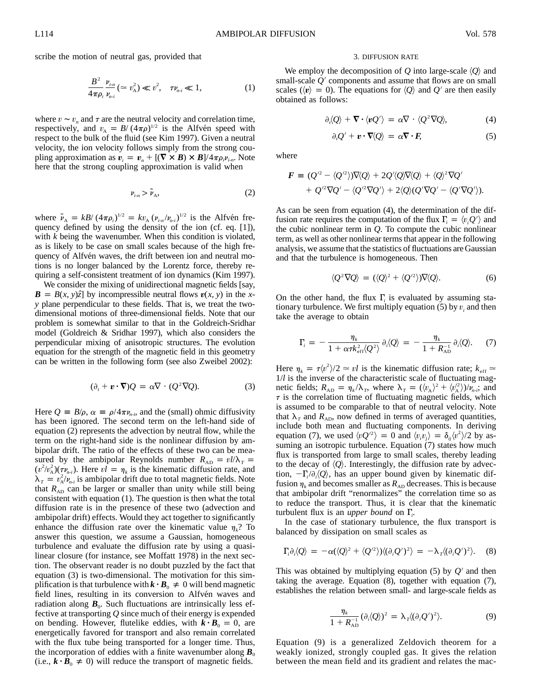scribe the motion of neutral gas, provided that

$$
\frac{B^2}{4\pi\rho_i} \frac{\nu_{i\cdot n}}{\nu_{n\cdot i}} \left( \approx v_A^2 \right) \ll v^2, \quad \tau \nu_{n\cdot i} \ll 1,
$$
 (1)

where  $v \sim v_n$  and  $\tau$  are the neutral velocity and correlation time, respectively, and  $v_A = B/(4\pi\rho)^{1/2}$  is the Alfven speed with respect to the bulk of the fluid (see Kim 1997). Given a neutral velocity, the ion velocity follows simply from the strong coupling approximation as  $v_i = v_n + [(\nabla \times B) \times B]/4\pi \rho_i v_{i,n}$ . Note here that the strong coupling approximation is valid when

$$
\nu_{i\text{-}n} > \tilde{\nu}_{A}, \tag{2} \quad + \mathcal{Q}^{\prime 2} \mathsf{V} \mathcal{Q}^{\prime}
$$

where  $\tilde{\nu}_A = kB/(4\pi\rho_i)^{1/2} = kv_A (v_{i-n}/v_{n-i})^{1/2}$  is the Alfvén frequency defined by using the density of the ion (cf. eq. [1]), with *k* being the wavenumber. When this condition is violated, as is likely to be case on small scales because of the high frequency of Alfvén waves, the drift between ion and neutral motions is no longer balanced by the Lorentz force, thereby requiring a self-consistent treatment of ion dynamics (Kim 1997).

We consider the mixing of unidirectional magnetic fields [say,  $\mathbf{B} = B(x, y)\hat{z}$  by incompressible neutral flows  $\mathbf{v}(x, y)$  in the *xy* plane perpendicular to these fields. That is, we treat the twodimensional motions of three-dimensional fields. Note that our problem is somewhat similar to that in the Goldreich-Sridhar model (Goldreich & Sridhar 1997), which also considers the perpendicular mixing of anisotropic structures. The evolution equation for the strength of the magnetic field in this geometry can be written in the following form (see also Zweibel 2002):

$$
(\partial_t + \mathbf{v} \cdot \nabla)Q = \alpha \nabla \cdot (Q^2 \nabla Q). \tag{3}
$$

Here  $Q \equiv B/\rho$ ,  $\alpha \equiv \rho/4\pi v_{n-i}$ , and the (small) ohmic diffusivity has been ignored. The second term on the left-hand side of equation (2) represents the advection by neutral flow, while the term on the right-hand side is the nonlinear diffusion by ambipolar drift. The ratio of the effects of these two can be measured by the ambipolar Reynolds number  $R_{AD} = v / / \lambda_T = (v^2 / v_A^2)(\tau_{\nu_{ni}})$ . Here  $v l = \eta_k$  is the kinematic diffusion rate, and  $\lambda_T = v_A^2 / v_{n-i}$  is ambipolar drift due to total magnetic fields. Note that  $R_{AD}$  can be larger or smaller than unity while still being consistent with equation (1). The question is then what the total diffusion rate is in the presence of these two (advection and ambipolar drift) effects. Would they act together to significantly enhance the diffusion rate over the kinematic value  $\eta_k$ ? To answer this question, we assume a Gaussian, homogeneous turbulence and evaluate the diffusion rate by using a quasilinear closure (for instance, see Moffatt 1978) in the next section. The observant reader is no doubt puzzled by the fact that equation (3) is two-dimensional. The motivation for this simplification is that turbulence with  $\mathbf{k} \cdot \mathbf{B}_0 \neq 0$  will bend magnetic field lines, resulting in its conversion to Alfvén waves and radiation along  $B_0$ . Such fluctuations are intrinsically less effective at transporting *Q* since much of their energy is expended on bending. However, flutelike eddies, with  $\mathbf{k} \cdot \mathbf{B}_0 = 0$ , are energetically favored for transport and also remain correlated with the flux tube being transported for a longer time. Thus, the incorporation of eddies with a finite wavenumber along  $B_0$ (i.e.,  $\mathbf{k} \cdot \mathbf{B}_0 \neq 0$ ) will reduce the transport of magnetic fields.

#### 3. DIFFUSION RATE

We employ the decomposition of *Q* into large-scale  $\langle Q \rangle$  and small-scale *Q*' components and assume that flows are on small scales ( $\langle v \rangle = 0$ ). The equations for  $\langle Q \rangle$  and  $Q'$  are then easily obtained as follows:

$$
\partial_t \langle Q \rangle + \nabla \cdot \langle vQ' \rangle = \alpha \nabla \cdot \langle Q^2 \nabla Q \rangle, \tag{4}
$$

$$
\partial_t Q' + \mathbf{v} \cdot \nabla \langle Q \rangle = \alpha \nabla \cdot \mathbf{F}, \tag{5}
$$

where

$$
F = (Q'^2 - \langle Q'^2 \rangle) \nabla \langle Q \rangle + 2Q' \langle Q \rangle \nabla \langle Q \rangle + \langle Q \rangle^2 \nabla Q' + Q'^2 \nabla Q' - \langle Q'^2 \nabla Q' \rangle + 2 \langle Q \rangle (Q' \nabla Q' - \langle Q' \nabla Q' \rangle).
$$

As can be seen from equation (4), the determination of the dif fusion rate requires the computation of the flux  $\Gamma_i = \langle v_i Q' \rangle$  and the cubic nonlinear term in *Q*. To compute the cubic nonlinear term, as well as other nonlinear terms that appear in the following analysis, we assume that the statistics of fluctuations are Gaussian and that the turbulence is homogeneous. Then

$$
\langle Q^2 \nabla Q \rangle = (\langle Q \rangle^2 + \langle Q'^2 \rangle) \nabla \langle Q \rangle.
$$
 (6)

On the other hand, the flux  $\Gamma$ <sub>i</sub> is evaluated by assuming stationary turbulence. We first multiply equation  $(5)$  by  $v_i$  and then take the average to obtain

$$
\Gamma_i = -\frac{\eta_k}{1 + \alpha \tau k_{\text{eff}}^2 \langle Q^2 \rangle} \partial_i \langle Q \rangle = -\frac{\eta_k}{1 + R_{\text{AD}}^{-1}} \partial_i \langle Q \rangle. \tag{7}
$$

Here  $\eta_k = \tau \langle v^2 \rangle/2 \approx v l$  is the kinematic diffusion rate;  $k_{\text{eff}} \approx$ 1/*l* is the inverse of the characteristic scale of fluctuating mag netic fields;  $R_{AD} = \eta_k / \lambda_T$ , where  $\lambda_T = (\langle v_A \rangle^2 + \langle v_A^2 \rangle)/v_{n-i}$ ; and  $\tau$  is the correlation time of fluctuating magnetic fields, which is assumed to be comparable to that of neutral velocity. Note that  $\lambda_T$  and  $R_{AD}$ , now defined in terms of averaged quantities, include both mean and fluctuating components. In deriving equation (7), we used  $\langle vQ'^2 \rangle = 0$  and  $\langle v_i v_j \rangle = \delta_{ij} \langle v^2 \rangle / 2$  by assuming an isotropic turbulence. Equation (7) states how much flux is transported from large to small scales, thereby leading to the decay of  $\langle 0 \rangle$ . Interestingly, the diffusion rate by advection,  $-\Gamma_i/\partial_i\langle Q \rangle$ , has an upper bound given by kinematic diffusion  $\eta_k$  and becomes smaller as  $R_{AD}$  decreases. This is because that ambipolar drift "renormalizes" the correlation time so as to reduce the transport. Thus, it is clear that the kinematic turbulent flux is an *upper bound* on  $\Gamma_i$ .

In the case of stationary turbulence, the flux transport is balanced by dissipation on small scales as

$$
\Gamma_i \partial_i \langle Q \rangle = -\alpha (\langle Q \rangle^2 + \langle Q'^2 \rangle) \langle (\partial_i Q')^2 \rangle = -\lambda_T \langle (\partial_i Q')^2 \rangle. \quad (8)
$$

This was obtained by multiplying equation (5) by *Q*' and then taking the average. Equation (8), together with equation (7), establishes the relation between small- and large-scale fields as

$$
\frac{\eta_k}{1+R_{AD}^{-1}}(\partial_i \langle Q \rangle)^2 = \lambda_T \langle (\partial_i Q')^2 \rangle.
$$
 (9)

Equation (9) is a generalized Zeldovich theorem for a weakly ionized, strongly coupled gas. It gives the relation between the mean field and its gradient and relates the mac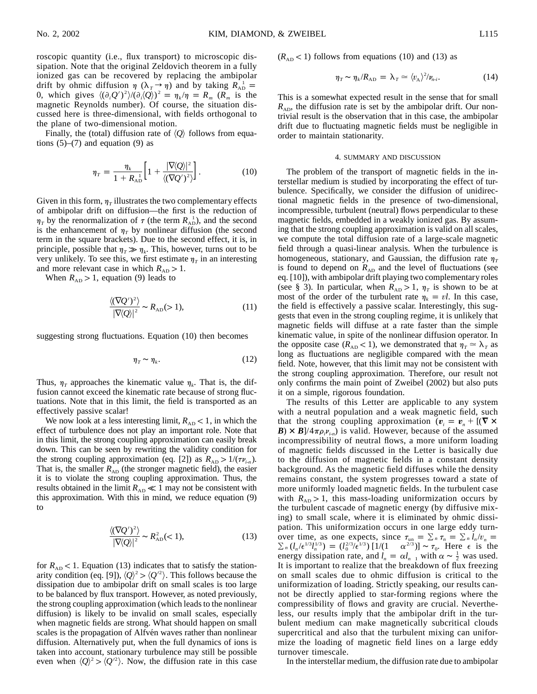drift by ohmic diffusion  $\eta$  ( $\lambda_T \rightarrow \eta$ ) and by taking  $R_{AD}^{1}$  = roscopic quantity (i.e., flux transport) to microscopic dissipation. Note that the original Zeldovich theorem in a fully ionized gas can be recovered by replacing the ambipolar 0, which gives  $\langle (\partial_i Q')^2 \rangle / (\partial_i Q) \rangle^2 = \eta_k / \eta = R_m$  ( $R_m$  is the magnetic Reynolds number). Of course, the situation discussed here is three-dimensional, with fields orthogonal to the plane of two-dimensional motion.

Finally, the (total) diffusion rate of  $\langle Q \rangle$  follows from equations  $(5)$ – $(7)$  and equation  $(9)$  as

$$
\eta_T = \frac{\eta_k}{1 + R_{AD}^{-1}} \left[ 1 + \frac{|\nabla \langle Q \rangle|^2}{\langle (\nabla Q')^2 \rangle} \right]. \tag{10}
$$

 $\eta_T$  by the renormalization of  $\tau$  (the term  $R_{AD}^{-1}$ ), and the second Given in this form,  $\eta$ <sub>*T*</sub> illustrates the two complementary effects of ambipolar drift on diffusion—the first is the reduction of is the enhancement of  $\eta_T$  by nonlinear diffusion (the second term in the square brackets). Due to the second effect, it is, in principle, possible that  $\eta_T \gg \eta_k$ . This, however, turns out to be very unlikely. To see this, we first estimate  $\eta_T$  in an interesting and more relevant case in which  $R_{AD} > 1$ .

When  $R_{AD} > 1$ , equation (9) leads to

$$
\frac{\langle (\nabla Q')^2 \rangle}{|\nabla Q||^2} \sim R_{AD}(>1),\tag{11}
$$

suggesting strong fluctuations. Equation (10) then becomes

$$
\eta_T \sim \eta_k. \tag{12}
$$

Thus,  $\eta_T$  approaches the kinematic value  $\eta_k$ . That is, the diffusion cannot exceed the kinematic rate because of strong fluctuations. Note that in this limit, the field is transported as an effectively passive scalar!

We now look at a less interesting limit,  $R_{AD} < 1$ , in which the effect of turbulence does not play an important role. Note that in this limit, the strong coupling approximation can easily break down. This can be seen by rewriting the validity condition for the strong coupling approximation (eq. [2]) as  $R_{AD} > 1/(\tau \nu_{in}).$ That is, the smaller  $R_{AD}$  (the stronger magnetic field), the easier it is to violate the strong coupling approximation. Thus, the results obtained in the limit  $R_{AD} \ll 1$  may not be consistent with this approximation. With this in mind, we reduce equation (9) to

$$
\frac{\langle (\nabla Q')^2 \rangle}{|\nabla Q|^{2}} \sim R_{AD}^{2}(<1),\tag{13}
$$

for  $R_{AD}$  < 1. Equation (13) indicates that to satisfy the stationarity condition (eq. [9]),  $\langle Q \rangle^2 > \langle Q'^2 \rangle$ . This follows because the dissipation due to ambipolar drift on small scales is too large to be balanced by flux transport. However, as noted previously, the strong coupling approximation (which leads to the nonlinear diffusion) is likely to be invalid on small scales, especially when magnetic fields are strong. What should happen on small scales is the propagation of Alfven waves rather than nonlinear diffusion. Alternatively put, when the full dynamics of ions is taken into account, stationary turbulence may still be possible even when  $\langle Q \rangle^2 > \langle Q'^2 \rangle$ . Now, the diffusion rate in this case  $(R<sub>AD</sub> < 1)$  follows from equations (10) and (13) as

$$
\eta_{T} \sim \eta_{k}/R_{AD} = \lambda_{T} \simeq \langle v_{A} \rangle^{2}/v_{n.i}.
$$
 (14)

This is a somewhat expected result in the sense that for small  $R_{AD}$ , the diffusion rate is set by the ambipolar drift. Our nontrivial result is the observation that in this case, the ambipolar drift due to fluctuating magnetic fields must be negligible in order to maintain stationarity.

#### 4. SUMMARY AND DISCUSSION

The problem of the transport of magnetic fields in the interstellar medium is studied by incorporating the effect of turbulence. Specifically, we consider the diffusion of unidirectional magnetic fields in the presence of two-dimensional, incompressible, turbulent (neutral) flows perpendicular to these magnetic fields, embedded in a weakly ionized gas. By assuming that the strong coupling approximation is valid on all scales, we compute the total diffusion rate of a large-scale magnetic field through a quasi-linear analysis. When the turbulence is homogeneous, stationary, and Gaussian, the diffusion rate  $\eta$ <sup>T</sup> is found to depend on  $R_{AD}$  and the level of fluctuations (see eq. [10]), with ambipolar drift playing two complementary roles (see § 3). In particular, when  $R_{AD} > 1$ ,  $\eta_T$  is shown to be at most of the order of the turbulent rate  $\eta_k = vl$ . In this case, the field is effectively a passive scalar. Interestingly, this suggests that even in the strong coupling regime, it is unlikely that magnetic fields will diffuse at a rate faster than the simple kinematic value, in spite of the nonlinear diffusion operator. In the opposite case ( $R_{AD}$  < 1), we demonstrated that  $\eta_T \approx \lambda_T$  as long as fluctuations are negligible compared with the mean field. Note, however, that this limit may not be consistent with the strong coupling approximation. Therefore, our result not only confirms the main point of Zweibel (2002) but also puts it on a simple, rigorous foundation.

over time, as one expects, since  $τ_{un} = Σ_n τ_n = Σ_n l_n/v_n = Σ_n (l_n/ε^{1/3}l_n^{1/3}) = (l_0^{2/3}/ε^{1/3}) [1/(1 α^{2/3})] ~ τ_0.$  Here *ε* is the energy dissipation rate, and  $l_n = \alpha l_{n-1}$  with  $\alpha \sim \frac{1}{2}$  was used. The results of this Letter are applicable to any system with a neutral population and a weak magnetic field, such that the strong coupling approximation ( $v_i = v_n + [(\nabla \times$  $\mathbf{B}$ ) ×  $\mathbf{B}$ ]/4 $\pi \rho$ , $\nu_{i,n}$ ) is valid. However, because of the assumed incompressibility of neutral flows, a more uniform loading of magnetic fields discussed in the Letter is basically due to the diffusion of magnetic fields in a constant density background. As the magnetic field diffuses while the density remains constant, the system progresses toward a state of more uniformly loaded magnetic fields. In the turbulent case with  $R_{AD} > 1$ , this mass-loading uniformization occurs by the turbulent cascade of magnetic energy (by diffusive mixing) to small scale, where it is eliminated by ohmic dissipation. This uniformization occurs in one large eddy turn-It is important to realize that the breakdown of flux freezing on small scales due to ohmic diffusion is critical to the uniformization of loading. Strictly speaking, our results cannot be directly applied to star-forming regions where the compressibility of flows and gravity are crucial. Nevertheless, our results imply that the ambipolar drift in the turbulent medium can make magnetically subcritical clouds supercritical and also that the turbulent mixing can uniformize the loading of magnetic field lines on a large eddy turnover timescale.

In the interstellar medium, the diffusion rate due to ambipolar